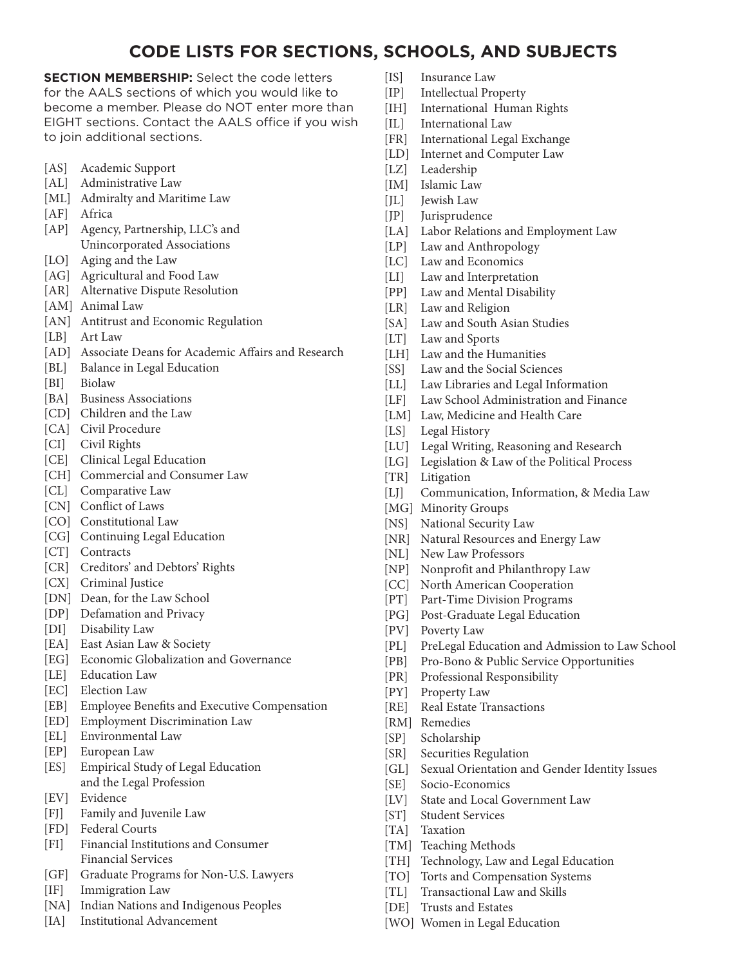## **CODE LISTS FOR SECTIONS, SCHOOLS, AND SUBJECTS**

**SECTION MEMBERSHIP:** Select the code letters for the AALS sections of which you would like to become a member. Please do NOT enter more than EIGHT sections. Contact the AALS office if you wish to join additional sections.

- [AS] Academic Support
- [AL] Administrative Law
- [ML] Admiralty and Maritime Law
- [AF] Africa
- [AP] Agency, Partnership, LLC's and Unincorporated Associations
- [LO] Aging and the Law
- [AG] Agricultural and Food Law
- [AR] Alternative Dispute Resolution
- [AM] Animal Law
- [AN] Antitrust and Economic Regulation
- [LB] Art Law
- [AD] Associate Deans for Academic Affairs and Research
- [BL] Balance in Legal Education
- [BI] Biolaw
- [BA] Business Associations
- [CD] Children and the Law
- [CA] Civil Procedure
- [CI] Civil Rights
- [CE] Clinical Legal Education
- [CH] Commercial and Consumer Law
- [CL] Comparative Law
- [CN] Conflict of Laws
- [CO] Constitutional Law
- [CG] Continuing Legal Education
- [CT] Contracts
- [CR] Creditors' and Debtors' Rights
- [CX] Criminal Justice
- [DN] Dean, for the Law School
- [DP] Defamation and Privacy
- [DI] Disability Law
- [EA] East Asian Law & Society
- [EG] Economic Globalization and Governance
- [LE] Education Law
- [EC] Election Law
- [EB] Employee Benefits and Executive Compensation
- [ED] Employment Discrimination Law
- [EL] Environmental Law
- [EP] European Law
- [ES] Empirical Study of Legal Education and the Legal Profession
- [EV] Evidence
- [FJ] Family and Juvenile Law
- [FD] Federal Courts
- [FI] Financial Institutions and Consumer Financial Services
- [GF] Graduate Programs for Non-U.S. Lawyers
- [IF] Immigration Law
- [NA] Indian Nations and Indigenous Peoples
- [IA] Institutional Advancement
- [IS] Insurance Law
- [IP] Intellectual Property
- [IH] International Human Rights
- [IL] International Law
- [FR] International Legal Exchange
- [LD] Internet and Computer Law
- [LZ] Leadership
- [IM] Islamic Law
- [JL] Jewish Law
- [JP] Jurisprudence
- [LA] Labor Relations and Employment Law
- [LP] Law and Anthropology
- [LC] Law and Economics
- [LI] Law and Interpretation
- [PP] Law and Mental Disability
- [LR] Law and Religion
- [SA] Law and South Asian Studies
- [LT] Law and Sports
- [LH] Law and the Humanities
- [SS] Law and the Social Sciences
- [LL] Law Libraries and Legal Information
- [LF] Law School Administration and Finance
- [LM] Law, Medicine and Health Care
- [LS] Legal History
- [LU] Legal Writing, Reasoning and Research
- [LG] Legislation & Law of the Political Process
- [TR] Litigation
- [LJ] Communication, Information, & Media Law
- [MG] Minority Groups
- [NS] National Security Law
- [NR] Natural Resources and Energy Law
- [NL] New Law Professors
- [NP] Nonprofit and Philanthropy Law
- [CC] North American Cooperation
- [PT] Part-Time Division Programs
- [PG] Post-Graduate Legal Education
- [PV] Poverty Law
- [PL] PreLegal Education and Admission to Law School
- [PB] Pro-Bono & Public Service Opportunities
- [PR] Professional Responsibility
- [PY] Property Law
- [RE] Real Estate Transactions
- [RM] Remedies
- [SP] Scholarship
- [SR] Securities Regulation
- [GL] Sexual Orientation and Gender Identity Issues
- [SE] Socio-Economics
- [LV] State and Local Government Law

[TH] Technology, Law and Legal Education [TO] Torts and Compensation Systems [TL] Transactional Law and Skills

- [ST] Student Services
- [TA] Taxation
- [TM] Teaching Methods

[DE] Trusts and Estates

[WO] Women in Legal Education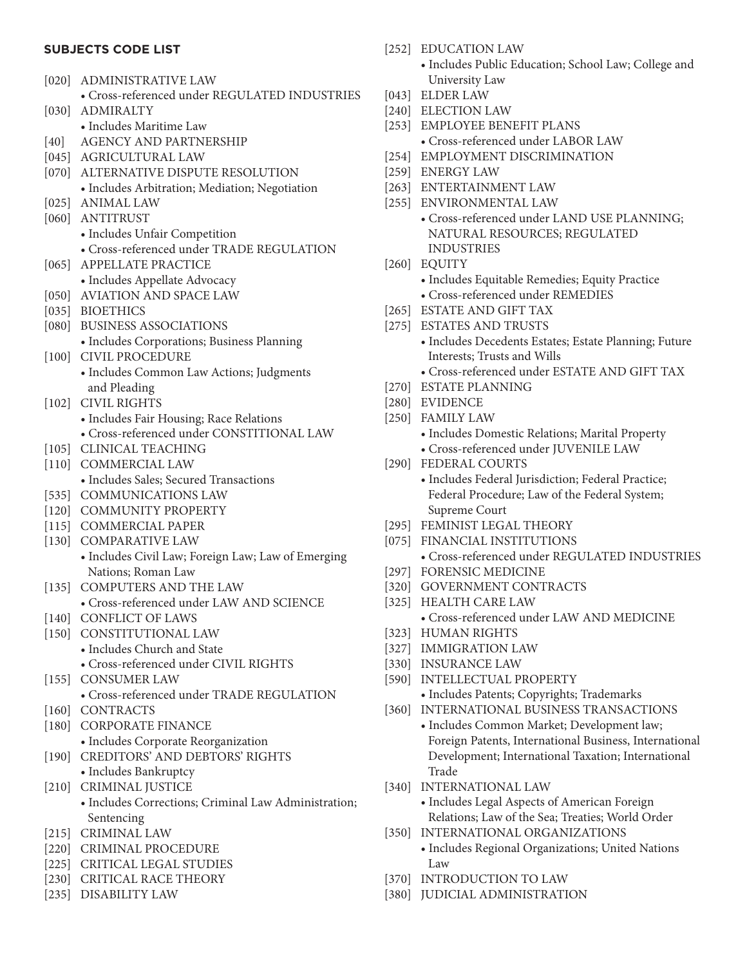## **SUBJECTS CODE LIST**

- [020] ADMINISTRATIVE LAW • Cross-referenced under REGULATED INDUSTRIES [030] ADMIRALTY
	- Includes Maritime Law
- [40] AGENCY AND PARTNERSHIP
- [045] AGRICULTURAL LAW
- [070] ALTERNATIVE DISPUTE RESOLUTION • Includes Arbitration; Mediation; Negotiation
- [025] ANIMAL LAW
- [060] ANTITRUST
	- Includes Unfair Competition
	- Cross-referenced under TRADE REGULATION
- [065] APPELLATE PRACTICE
	- Includes Appellate Advocacy
- [050] AVIATION AND SPACE LAW
- [035] BIOETHICS
- [080] BUSINESS ASSOCIATIONS
- Includes Corporations; Business Planning
- [100] CIVIL PROCEDURE
	- Includes Common Law Actions; Judgments and Pleading
- [102] CIVIL RIGHTS
	- Includes Fair Housing; Race Relations
	- Cross-referenced under CONSTITIONAL LAW
- [105] CLINICAL TEACHING
- [110] COMMERCIAL LAW • Includes Sales; Secured Transactions
- [535] COMMUNICATIONS LAW
- [120] COMMUNITY PROPERTY
- [115] COMMERCIAL PAPER
- [130] COMPARATIVE LAW
	- Includes Civil Law; Foreign Law; Law of Emerging Nations; Roman Law
- [135] COMPUTERS AND THE LAW • Cross-referenced under LAW AND SCIENCE
- [140] CONFLICT OF LAWS
- [150] CONSTITUTIONAL LAW
	- Includes Church and State
	- Cross-referenced under CIVIL RIGHTS
- [155] CONSUMER LAW
	- Cross-referenced under TRADE REGULATION
- [160] CONTRACTS
- [180] CORPORATE FINANCE
- Includes Corporate Reorganization
- [190] CREDITORS' AND DEBTORS' RIGHTS • Includes Bankruptcy
- [210] CRIMINAL JUSTICE
	- Includes Corrections; Criminal Law Administration; Sentencing
- [215] CRIMINAL LAW
- [220] CRIMINAL PROCEDURE
- [225] CRITICAL LEGAL STUDIES
- [230] CRITICAL RACE THEORY
- [235] DISABILITY LAW
- [252] EDUCATION LAW
	- Includes Public Education; School Law; College and University Law
- [043] ELDER LAW
- [240] ELECTION LAW
- [253] EMPLOYEE BENEFIT PLANS • Cross-referenced under LABOR LAW
- [254] EMPLOYMENT DISCRIMINATION
- [259] ENERGY LAW
- [263] ENTERTAINMENT LAW
- [255] ENVIRONMENTAL LAW
	- Cross-referenced under LAND USE PLANNING; NATURAL RESOURCES; REGULATED INDUSTRIES
- [260] EQUITY
	- Includes Equitable Remedies; Equity Practice
	- Cross-referenced under REMEDIES
- [265] ESTATE AND GIFT TAX
- [275] ESTATES AND TRUSTS
	- Includes Decedents Estates; Estate Planning; Future Interests; Trusts and Wills
	- Cross-referenced under ESTATE AND GIFT TAX
- [270] ESTATE PLANNING
- [280] EVIDENCE
- [250] FAMILY LAW
	- Includes Domestic Relations; Marital Property • Cross-referenced under JUVENILE LAW
- [290] FEDERAL COURTS • Includes Federal Jurisdiction; Federal Practice; Federal Procedure; Law of the Federal System; Supreme Court
- [295] FEMINIST LEGAL THEORY
- [075] FINANCIAL INSTITUTIONS • Cross-referenced under REGULATED INDUSTRIES
- [297] FORENSIC MEDICINE
- [320] GOVERNMENT CONTRACTS
- [325] HEALTH CARE LAW
	- Cross-referenced under LAW AND MEDICINE
- [323] HUMAN RIGHTS
- [327] IMMIGRATION LAW
- [330] INSURANCE LAW
- [590] INTELLECTUAL PROPERTY • Includes Patents; Copyrights; Trademarks
- [360] INTERNATIONAL BUSINESS TRANSACTIONS
	- Includes Common Market; Development law; Foreign Patents, International Business, International Development; International Taxation; International Trade
- [340] INTERNATIONAL LAW
	- Includes Legal Aspects of American Foreign Relations; Law of the Sea; Treaties; World Order
- [350] INTERNATIONAL ORGANIZATIONS
	- Includes Regional Organizations; United Nations Law
- [370] INTRODUCTION TO LAW
- [380] JUDICIAL ADMINISTRATION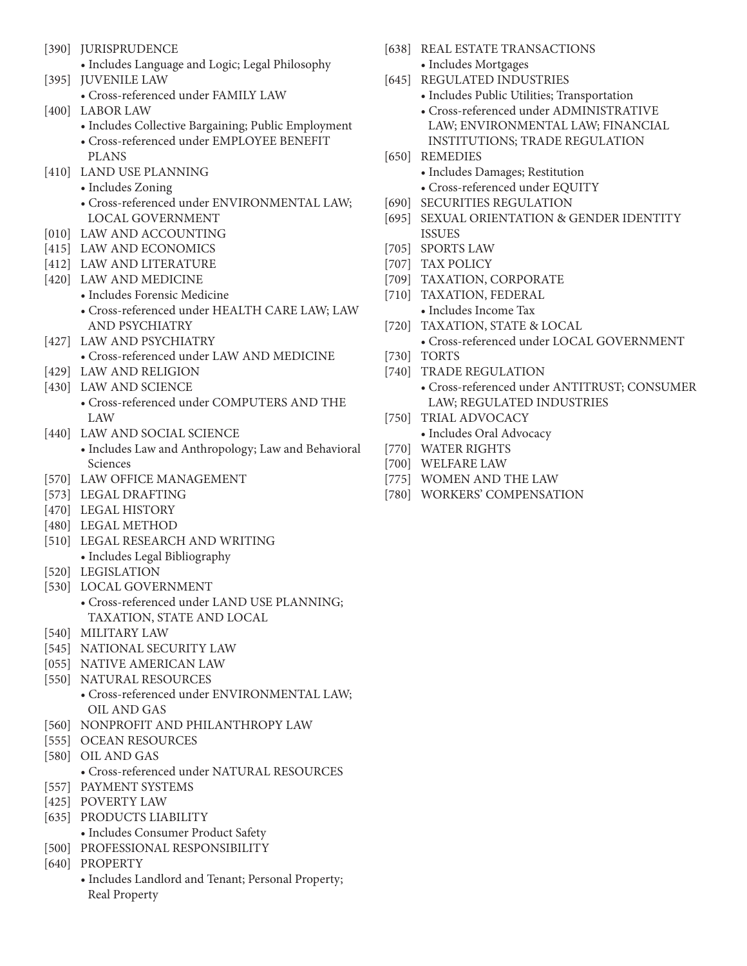- [390] **JURISPRUDENCE** 
	- Includes Language and Logic; Legal Philosophy
- [395] JUVENILE LAW
	- Cross-referenced under FAMILY LAW
- [400] LABOR LAW
	- Includes Collective Bargaining; Public Employment
	- Cross-referenced under EMPLOYEE BENEFIT PLANS
- [410] LAND USE PLANNING
	- Includes Zoning
	- Cross-referenced under ENVIRONMENTAL LAW; LOCAL GOVERNMENT
- [010] LAW AND ACCOUNTING
- [415] LAW AND ECONOMICS
- [412] LAW AND LITERATURE
- [420] LAW AND MEDICINE
	- Includes Forensic Medicine
		- Cross-referenced under HEALTH CARE LAW; LAW AND PSYCHIATRY
- [427] LAW AND PSYCHIATRY
	- Cross-referenced under LAW AND MEDICINE
- [429] LAW AND RELIGION
- [430] LAW AND SCIENCE
	- Cross-referenced under COMPUTERS AND THE LAW
- [440] LAW AND SOCIAL SCIENCE
	- Includes Law and Anthropology; Law and Behavioral Sciences
- [570] LAW OFFICE MANAGEMENT
- [573] LEGAL DRAFTING
- [470] LEGAL HISTORY
- [480] LEGAL METHOD
- [510] LEGAL RESEARCH AND WRITING • Includes Legal Bibliography
- [520] LEGISLATION
- [530] LOCAL GOVERNMENT
	- Cross-referenced under LAND USE PLANNING; TAXATION, STATE AND LOCAL
- [540] MILITARY LAW
- [545] NATIONAL SECURITY LAW
- [055] NATIVE AMERICAN LAW
- [550] NATURAL RESOURCES
	- Cross-referenced under ENVIRONMENTAL LAW; OIL AND GAS
- [560] NONPROFIT AND PHILANTHROPY LAW
- [555] OCEAN RESOURCES
- [580] OIL AND GAS
	- Cross-referenced under NATURAL RESOURCES
- [557] PAYMENT SYSTEMS
- [425] POVERTY LAW
- [635] PRODUCTS LIABILITY
	- Includes Consumer Product Safety
- [500] PROFESSIONAL RESPONSIBILITY
- [640] PROPERTY
	- Includes Landlord and Tenant; Personal Property; Real Property
- [638] REAL ESTATE TRANSACTIONS
	- Includes Mortgages
- [645] REGULATED INDUSTRIES
	- Includes Public Utilities; Transportation
		- Cross-referenced under ADMINISTRATIVE LAW; ENVIRONMENTAL LAW; FINANCIAL INSTITUTIONS; TRADE REGULATION
- [650] REMEDIES
	- Includes Damages; Restitution
	- Cross-referenced under EQUITY
- [690] SECURITIES REGULATION
- [695] SEXUAL ORIENTATION & GENDER IDENTITY ISSUES
- [705] SPORTS LAW
- [707] TAX POLICY
- [709] TAXATION, CORPORATE
- [710] TAXATION, FEDERAL • Includes Income Tax
- [720] TAXATION, STATE & LOCAL • Cross-referenced under LOCAL GOVERNMENT
- [730] TORTS
- [740] TRADE REGULATION
	- Cross-referenced under ANTITRUST; CONSUMER LAW; REGULATED INDUSTRIES
- [750] TRIAL ADVOCACY
	- Includes Oral Advocacy
- [770] WATER RIGHTS
- [700] WELFARE LAW
- [775] WOMEN AND THE LAW
- [780] WORKERS' COMPENSATION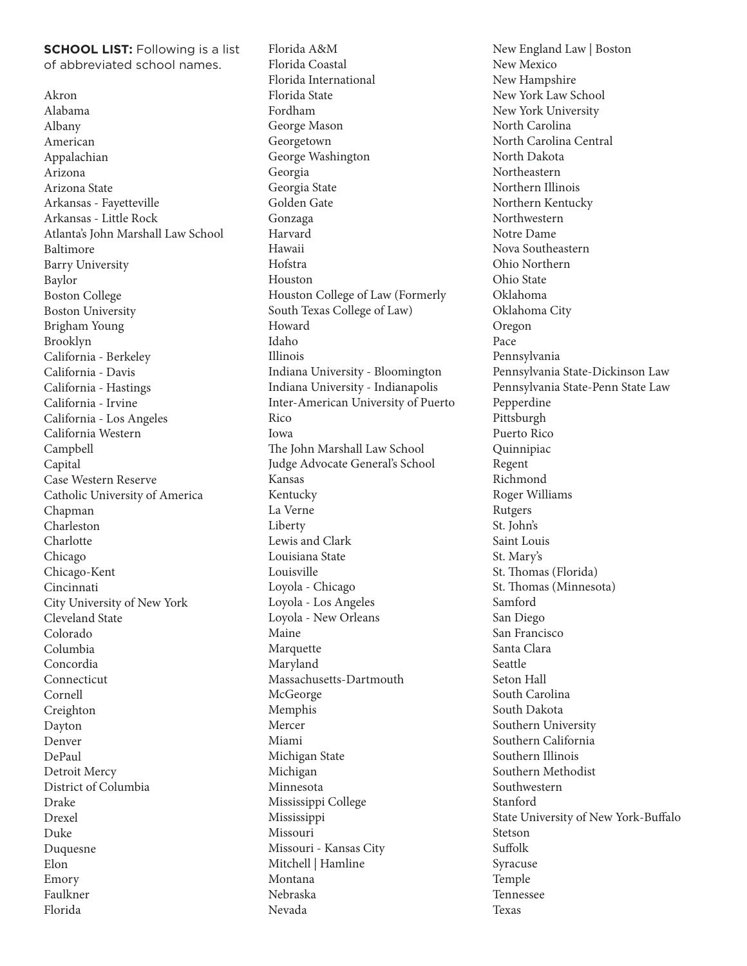**SCHOOL LIST:** Following is a list of abbreviated school names.

Akron Alabama Albany American Appalachian Arizona Arizona State Arkansas - Fayetteville Arkansas - Little Rock Atlanta's John Marshall Law School Baltimore Barry University Baylor Boston College Boston University Brigham Young Brooklyn California - Berkeley California - Davis California - Hastings California - Irvine California - Los Angeles California Western Campbell Capital Case Western Reserve Catholic University of America Chapman Charleston Charlotte Chicago Chicago-Kent Cincinnati City University of New York Cleveland State Colorado Columbia Concordia Connecticut Cornell Creighton Dayton Denver DePaul Detroit Mercy District of Columbia Drake Drexel Duke Duquesne Elon Emory Faulkner Florida

Florida A&M Florida Coastal Florida International Florida State Fordham George Mason Georgetown George Washington Georgia Georgia State Golden Gate Gonzaga Harvard Hawaii Hofstra Houston Houston College of Law (Formerly South Texas College of Law) Howard Idaho Illinois Indiana University - Bloomington Indiana University - Indianapolis Inter-American University of Puerto Rico Iowa The John Marshall Law School Judge Advocate General's School Kansas Kentucky La Verne Liberty Lewis and Clark Louisiana State Louisville Loyola - Chicago Loyola - Los Angeles Loyola - New Orleans Maine Marquette Maryland Massachusetts-Dartmouth **McGeorge** Memphis Mercer Miami Michigan State Michigan Minnesota Mississippi College Mississippi Missouri Missouri - Kansas City Mitchell | Hamline Montana Nebraska Nevada

New England Law | Boston New Mexico New Hampshire New York Law School New York University North Carolina North Carolina Central North Dakota Northeastern Northern Illinois Northern Kentucky Northwestern Notre Dame Nova Southeastern Ohio Northern Ohio State Oklahoma Oklahoma City Oregon Pace Pennsylvania Pennsylvania State-Dickinson Law Pennsylvania State-Penn State Law Pepperdine Pittsburgh Puerto Rico Quinnipiac Regent Richmond Roger Williams Rutgers St. John's Saint Louis St. Mary's St. Thomas (Florida) St. Thomas (Minnesota) Samford San Diego San Francisco Santa Clara Seattle Seton Hall South Carolina South Dakota Southern University Southern California Southern Illinois Southern Methodist Southwestern Stanford State University of New York-Buffalo Stetson Suffolk Syracuse Temple Tennessee Texas